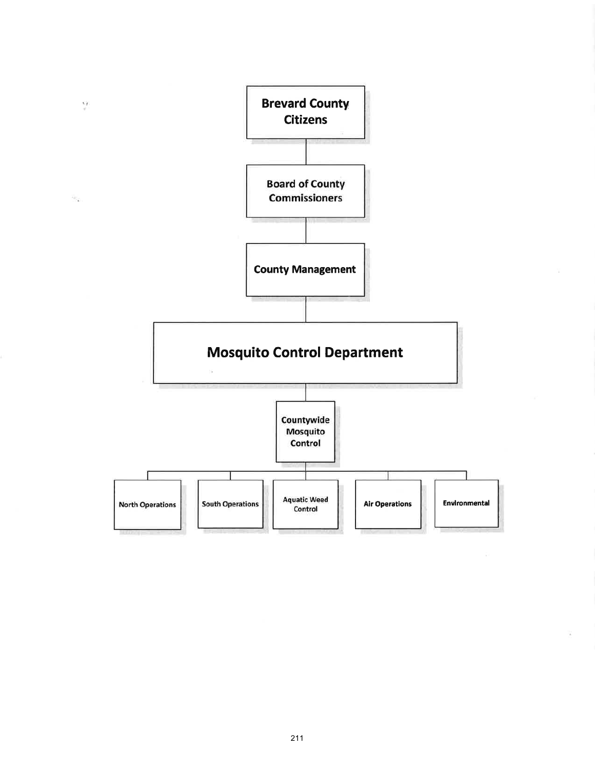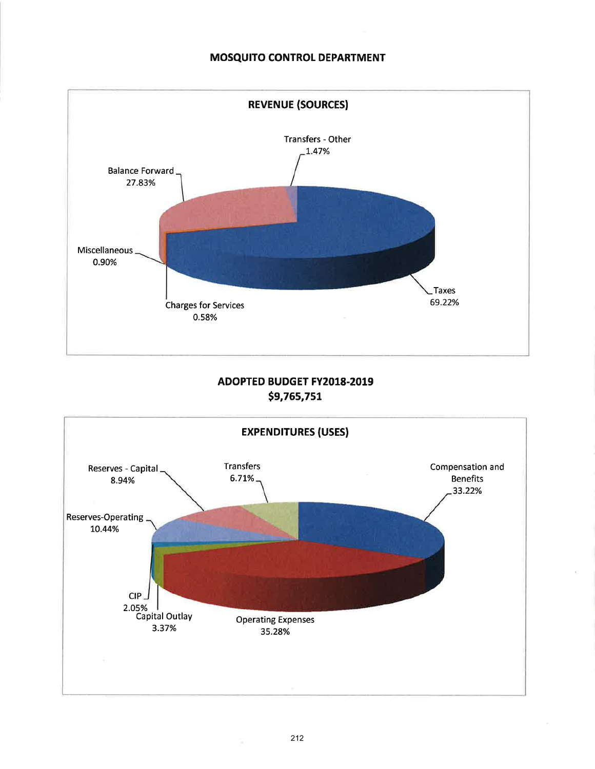### MOSQUITO CONTROL DEPARTMENT



# ADOPTED BUDGET FY2018.2019 \$9,765,751

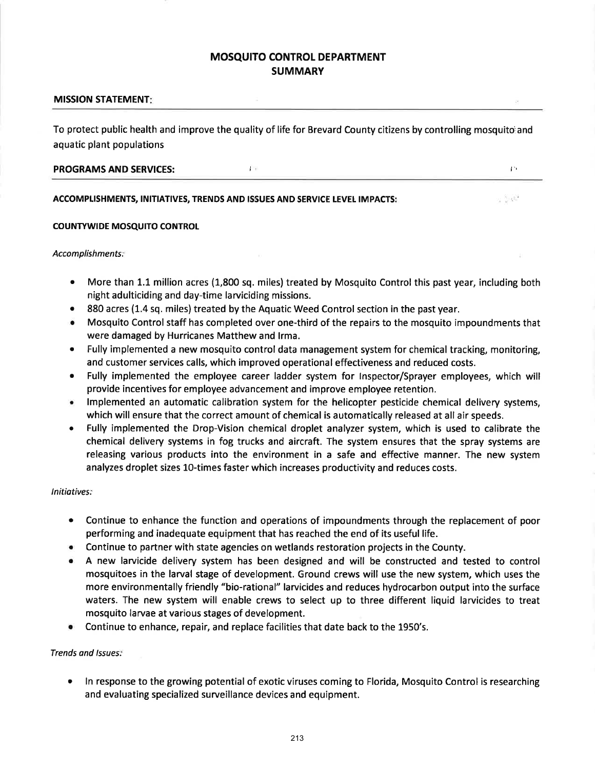## MOSQUITO CONTROL DEPARTMENT **SUMMARY**

### MISSION STATEMENT

To protect public health and improve the quality of life for Brevard County citizens by controlling mosquitoiand aquatic plant populations

| <b>PROGRAMS AND SERVICES:</b> |  |  |
|-------------------------------|--|--|
|                               |  |  |

#### ACCOMPLISHMENTS, INITIATIVES, TRENDS AND ISSUES AND SERVICE LEVEL IMPACTS:

#### COUNTYWIDE MOSQUITO CONTROL

#### Accomplishments:

More than 1.1 million acres (1,800 sq. miles) treated by Mosquito Control this past year, including both night adulticiding and day-time larviciding missions.

u Salf

- 880 acres (1.4 sq. miles) treated by the Aquatic Weed Control section in the past year.
- o Mosquito Control staff has completed over one-third of the repairs to the mosquito impoundments that were damaged by Hurricanes Matthew and lrma.
- Fully implemented a new mosquito control data management system for chemical tracking, monitoring, and customer services calls, which improved operational effectiveness and reduced costs.
- . Fully implemented the employee career ladder system for lnspector/Sprayer employees, which will provide incentives for employee advancement and improve employee retention.
- . lmplemented an automatic calibration system for the helicopter pesticide chemical delivery systems, which will ensure that the correct amount of chemical is automatically released at all air speeds.
- . Fully implemented the Drop-Vision chemical droplet analyzer system, which is used to calibrate the chemical delivery systems in fog trucks and aircraft. The system ensures that the spray systems are releasing various products into the environment in a safe and effective manner. The new system analyzes droplet sizes 10-times faster which increases productivity and reduces costs.

### lnitiotives:

- o Continue to enhance the function and operations of impoundments through the replacement of poor performing and inadequate equipment that has reached the end of its useful life.
- Continue to partner with state agencies on wetlands restoration projects in the County.
- o A new larvicide delivery system has been designed and will be constructed and tested to control mosquitoes in the larval stage of development. Ground crews will use the new system, which uses the more environmentally friendly "bio-rational" larvicides and reduces hydrocarbon output into the surface waters. The new system will enable crews to select up to three different liquid larvicides to treat mosquito larvae at various stages of development.
- **•** Continue to enhance, repair, and replace facilities that date back to the 1950's.

### Trends ond lssues:

ln response to the growing potential of exotic viruses coming to Florida, Mosquito Control is researching and evaluating specialized surveillance devices and equipment. a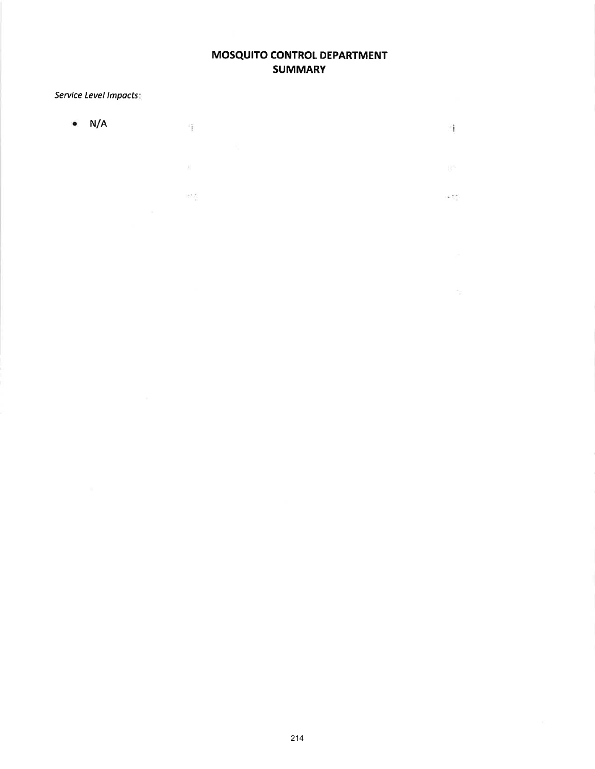# MOSQUITO CONTROL DEPARTMENT **SUMMARY**

ों

 $\mathbb{R}^{n_{\text{c}}-1}$ 

 $\sim 2.5$ 

 $\bar{\gamma}_{\rm R}$ 

# Service Level Impacts

 $\bullet$  N/A  $\mathbf{r}_1$ 

 $102.5\frac{W}{\lambda}$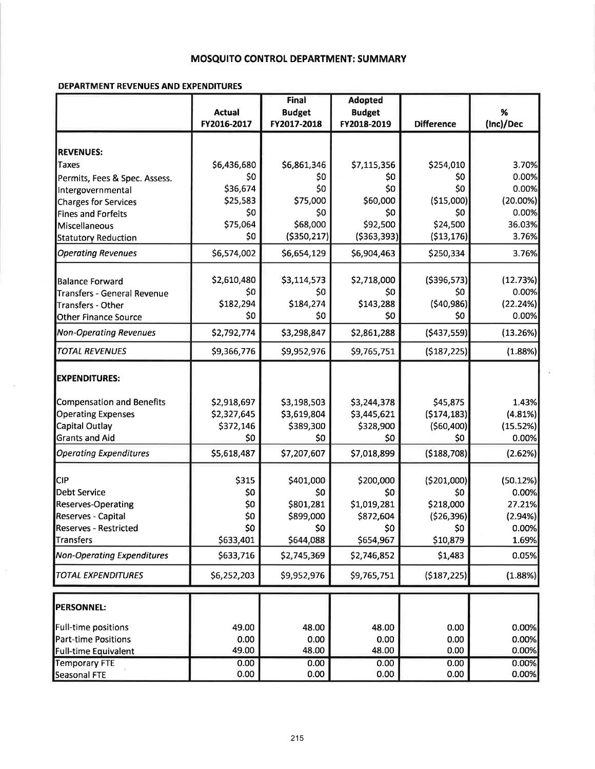## MOSQUITO CONTROL DEPARTMENT: SUMMARY

### DEPARTMENT REVENUES AND EXPENDITURES

|                                   |               | Final         | <b>Adopted</b> |                   |             |
|-----------------------------------|---------------|---------------|----------------|-------------------|-------------|
|                                   | <b>Actual</b> | <b>Budget</b> | <b>Budget</b>  |                   | %           |
|                                   | FY2016-2017   | FY2017-2018   | FY2018-2019    | <b>Difference</b> | (Inc)/Dec   |
|                                   |               |               |                |                   |             |
| <b>REVENUES:</b>                  |               |               |                |                   |             |
| <b>Taxes</b>                      | \$6,436,680   | \$6,861,346   | \$7,115,356    | \$254,010         | 3.70%       |
| Permits, Fees & Spec. Assess.     | \$0           | \$0           | \$0            | \$0               | 0.00%       |
| Intergovernmental                 | \$36,674      | \$0           | \$0            | \$0               | 0.00%       |
| <b>Charges for Services</b>       | \$25,583      | \$75,000      | \$60,000       | ( \$15,000)       | $(20.00\%)$ |
| <b>Fines and Forfeits</b>         | \$0           | \$0           | \$0            | \$0               | 0.00%       |
| Miscellaneous                     | \$75,064      | \$68,000      | \$92,500       | \$24,500          | 36.03%      |
| <b>Statutory Reduction</b>        | \$0           | ( \$350, 217] | ( \$363, 393)  | ( \$13, 176]      | 3.76%       |
| <b>Operating Revenues</b>         | \$6,574,002   | \$6,654,129   | \$6,904,463    | \$250,334         | 3.76%       |
| <b>Balance Forward</b>            | \$2,610,480   | \$3,114,573   | \$2,718,000    | ( \$396, 573]     | (12.73%)    |
| Transfers - General Revenue       | \$0           | \$0           | \$0            | \$0               | 0.00%       |
| Transfers - Other                 | \$182,294     | \$184,274     | \$143,288      | (540, 986)        | (22.24%)    |
| <b>Other Finance Source</b>       | \$0           | \$0           | \$0            | \$0               | 0.00%       |
| <b>Non-Operating Revenues</b>     | \$2,792,774   | \$3,298,847   | \$2,861,288    | ( \$437, 559)     | (13.26%)    |
| <b>TOTAL REVENUES</b>             | \$9,366,776   | \$9,952,976   | \$9,765,751    | (\$187,225)       | (1.88%)     |
|                                   |               |               |                |                   |             |
| <b>EXPENDITURES:</b>              |               |               |                |                   |             |
| <b>Compensation and Benefits</b>  | \$2,918,697   | \$3,198,503   | \$3,244,378    | \$45,875          | 1.43%       |
| <b>Operating Expenses</b>         | \$2,327,645   | \$3,619,804   | \$3,445,621    | (5174, 183)       | (4.81%)     |
| Capital Outlay                    | \$372,146     | \$389,300     | \$328,900      | (560, 400)        | (15.52%)    |
| <b>Grants and Aid</b>             | \$0           | \$0           | \$0            | \$0               | 0.00%       |
| <b>Operating Expenditures</b>     | \$5,618,487   | \$7,207,607   | \$7,018,899    | ( \$188, 708]     | (2.62%)     |
| <b>CIP</b>                        | \$315         | \$401,000     | \$200,000      | ( \$201,000)      | (50.12%)    |
| <b>Debt Service</b>               | \$0           | \$0           | \$0            | \$0               | 0.00%       |
| <b>Reserves-Operating</b>         | \$0           | \$801,281     | \$1,019,281    | \$218,000         | 27.21%      |
| Reserves - Capital                | \$0           | \$899,000     | \$872,604      | (526, 396)        | (2.94%)     |
| Reserves - Restricted             | \$0           | \$0           | \$0            | \$0               | 0.00%       |
| Transfers                         | \$633,401     | \$644,088     | \$654,967      | \$10,879          | 1.69%       |
| <b>Non-Operating Expenditures</b> | \$633,716     | \$2,745,369   | \$2,746,852    | \$1,483           | 0.05%       |
| <b>TOTAL EXPENDITURES</b>         | \$6,252,203   | \$9,952,976   | \$9,765,751    | ( \$187, 225)     | (1.88%)     |
|                                   |               |               |                |                   |             |
| <b>PERSONNEL:</b>                 |               |               |                |                   |             |
| Full-time positions               | 49.00         | 48.00         | 48.00          | 0.00              | 0.00%       |
| Part-time Positions               | 0.00          | 0.00          | 0.00           | 0.00              | 0.00%       |
| Full-time Equivalent              | 49.00         | 48.00         | 48.00          | 0.00              | 0.00%       |
| <b>Temporary FTE</b>              | 0.00          | 0.00          | 0.00           | 0.00              | 0.00%       |
| Seasonal FTE                      | 0.00          | 0.00          | 0.00           | 0.00              | 0.00%       |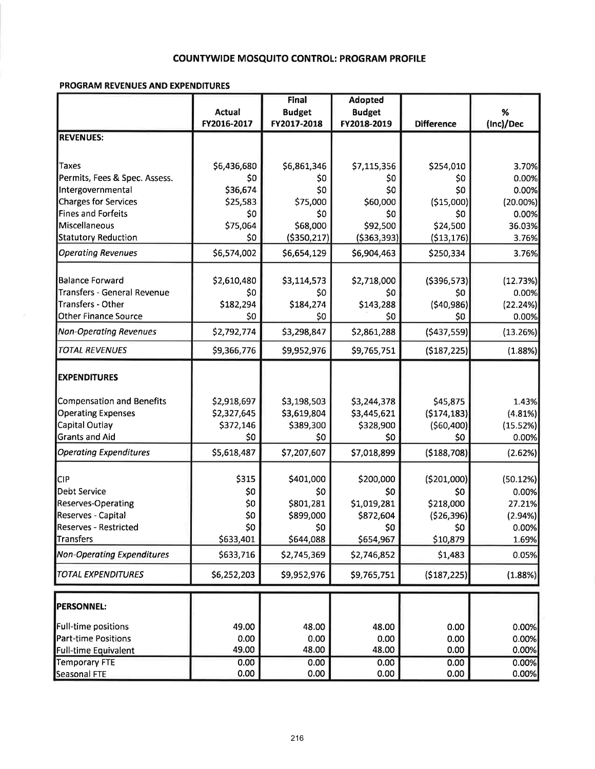## **COUNTYWIDE MOSQUITO CONTROL: PROGRAM PROFILE**

### PROGRAM REVENUES AND EXPENDITURES

|                                   |             | Final         | <b>Adopted</b> |                   |                  |
|-----------------------------------|-------------|---------------|----------------|-------------------|------------------|
|                                   | Actual      | <b>Budget</b> | <b>Budget</b>  |                   | %                |
|                                   | FY2016-2017 | FY2017-2018   | FY2018-2019    | <b>Difference</b> | (Inc)/Dec        |
| <b>REVENUES:</b>                  |             |               |                |                   |                  |
|                                   |             |               |                |                   |                  |
| Taxes                             | \$6,436,680 | \$6,861,346   | \$7,115,356    | \$254,010         | 3.70%            |
| Permits, Fees & Spec. Assess.     | \$0         | \$0           | \$0            | \$0               | 0.00%            |
| Intergovernmental                 | \$36,674    | \$0           | \$0            | \$0               | 0.00%            |
| Charges for Services              | \$25,583    | \$75,000      | \$60,000       | (\$15,000)        | $(20.00\%)$      |
| Fines and Forfeits                | \$0         | \$0           | \$0            | \$0               | 0.00%            |
| Miscellaneous                     | \$75,064    | \$68,000      | \$92,500       | \$24,500          | 36.03%           |
| Statutory Reduction               | \$0         | ( \$350, 217) | ( \$363, 393)  | ( \$13, 176]      | 3.76%            |
| <b>Operating Revenues</b>         | \$6,574,002 | \$6,654,129   | \$6,904,463    | \$250,334         | 3.76%            |
| <b>Balance Forward</b>            | \$2,610,480 | \$3,114,573   | \$2,718,000    | ( \$396, 573]     | (12.73%)         |
| Transfers - General Revenue       | \$0         | \$0           | S0             | \$0               | 0.00%            |
| <b>Transfers - Other</b>          | \$182,294   | \$184,274     | \$143,288      | (540,986)         | (22.24%)         |
| <b>Other Finance Source</b>       | \$0         | \$0           | \$0            | \$0               | 0.00%            |
|                                   |             |               |                |                   |                  |
| <b>Non-Operating Revenues</b>     | \$2,792,774 | \$3,298,847   | \$2,861,288    | ( \$437, 559]     | (13.26%)         |
| <b>TOTAL REVENUES</b>             | \$9,366,776 | \$9,952,976   | \$9,765,751    | ( \$187, 225 ]    | (1.88%)          |
| <b>EXPENDITURES</b>               |             |               |                |                   |                  |
| Compensation and Benefits         | \$2,918,697 | \$3,198,503   | \$3,244,378    | \$45,875          | 1.43%            |
| <b>Operating Expenses</b>         | \$2,327,645 | \$3,619,804   | \$3,445,621    | (5174, 183)       | (4.81%)          |
| Capital Outlay                    | \$372,146   | \$389,300     | \$328,900      | (560, 400)        | (15.52%)         |
| <b>Grants and Aid</b>             | \$0         | \$0           | \$0            | \$0               | 0.00%            |
| <b>Operating Expenditures</b>     | \$5,618,487 | \$7,207,607   | \$7,018,899    | ( \$188, 708]     | (2.62%)          |
| <b>CIP</b>                        | \$315       | \$401,000     | \$200,000      | ( \$201,000)      | (50.12%)         |
| Debt Service                      | \$0         | \$0           | \$0            |                   | 0.00%            |
| <b>Reserves-Operating</b>         | \$0         | \$801,281     | \$1,019,281    | \$0<br>\$218,000  | 27.21%           |
| Reserves - Capital                | \$0         | \$899,000     | \$872,604      | ( \$26, 396)      |                  |
| Reserves - Restricted             | \$0         | \$0           | \$0            | \$0               | (2.94%)<br>0.00% |
| Transfers                         | \$633,401   | \$644,088     | \$654,967      | \$10,879          | 1.69%            |
| <b>Non-Operating Expenditures</b> | \$633,716   | \$2,745,369   | \$2,746,852    | \$1,483           | 0.05%            |
| <b>TOTAL EXPENDITURES</b>         | \$6,252,203 | \$9,952,976   | \$9,765,751    | (\$187,225)       | (1.88%)          |
|                                   |             |               |                |                   |                  |
| <b>PERSONNEL:</b>                 |             |               |                |                   |                  |
| <b>Full-time positions</b>        | 49.00       | 48.00         | 48.00          | 0.00              | 0.00%            |
| <b>Part-time Positions</b>        | 0.00        | 0.00          | 0.00           | 0.00              | 0.00%            |
| <b>Full-time Equivalent</b>       | 49.00       | 48.00         | 48.00          | 0.00              | 0.00%            |
| <b>Temporary FTE</b>              | 0.00        | 0.00          | 0.00           | 0.00              | 0.00%            |
| Seasonal FTE                      | 0.00        | 0.00          | 0.00           | 0.00              | 0.00%            |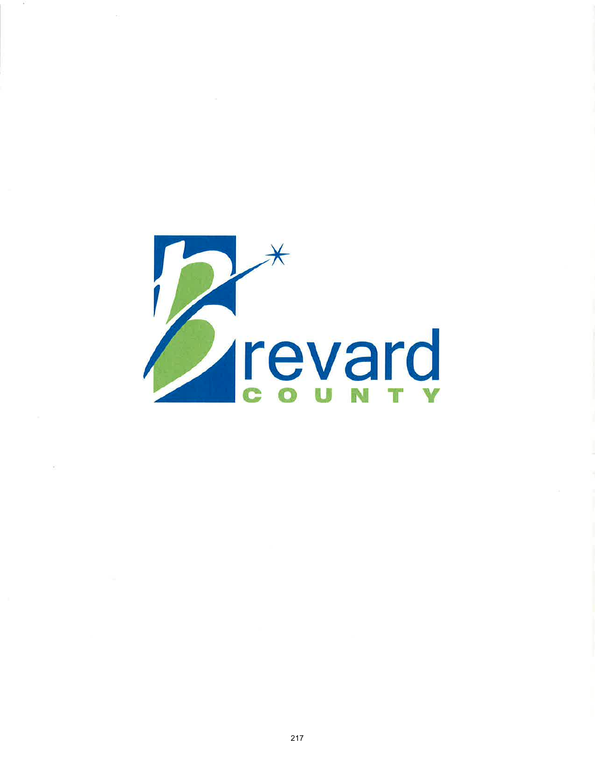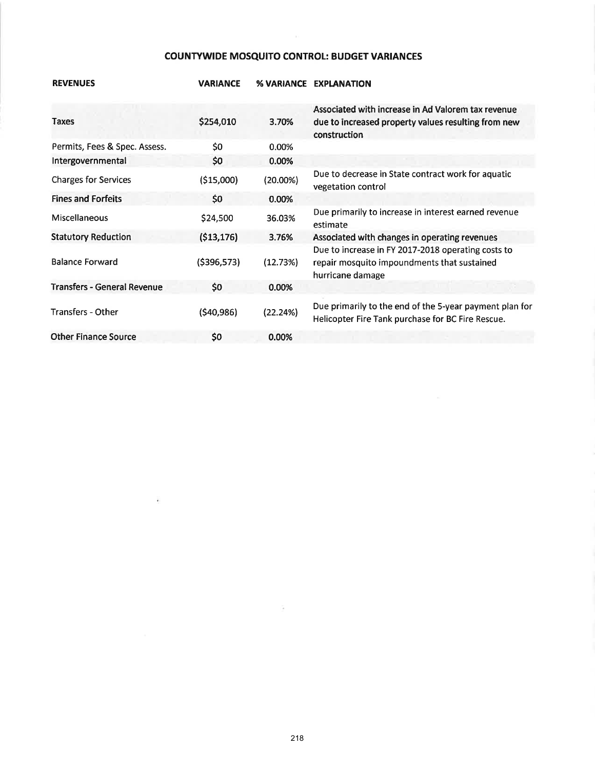# COUNTYWIDE MOSQUITO CONTROL: BUDGET VARIANCES

| <b>REVENUES</b>                    | <b>VARIANCE</b> |             | % VARIANCE EXPLANATION                                                                                                    |
|------------------------------------|-----------------|-------------|---------------------------------------------------------------------------------------------------------------------------|
| <b>Taxes</b>                       | \$254,010       | 3.70%       | Associated with increase in Ad Valorem tax revenue<br>due to increased property values resulting from new<br>construction |
| Permits, Fees & Spec. Assess.      | \$0             | 0.00%       |                                                                                                                           |
| Intergovernmental                  | \$0             | 0.00%       |                                                                                                                           |
| <b>Charges for Services</b>        | ( \$15,000)     | $(20.00\%)$ | Due to decrease in State contract work for aquatic<br>vegetation control                                                  |
| <b>Fines and Forfeits</b>          | \$0             | 0.00%       |                                                                                                                           |
| <b>Miscellaneous</b>               | \$24,500        | 36.03%      | Due primarily to increase in interest earned revenue<br>estimate                                                          |
| <b>Statutory Reduction</b>         | ( \$13, 176)    | 3.76%       | Associated with changes in operating revenues                                                                             |
| <b>Balance Forward</b>             | ( \$396, 573)   | (12.73%)    | Due to increase in FY 2017-2018 operating costs to<br>repair mosquito impoundments that sustained<br>hurricane damage     |
| <b>Transfers - General Revenue</b> | \$0             | 0.00%       |                                                                                                                           |
| <b>Transfers - Other</b>           | ( \$40, 986)    | (22.24%)    | Due primarily to the end of the 5-year payment plan for<br>Helicopter Fire Tank purchase for BC Fire Rescue.              |
| <b>Other Finance Source</b>        | \$0             | 0.00%       |                                                                                                                           |

### 218

 $\sim$ 

 $\overline{\mathbf{r}}$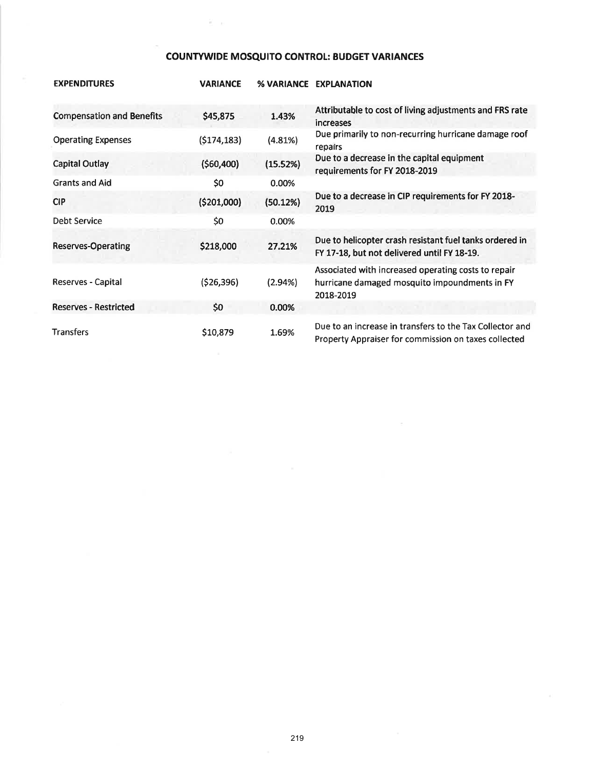# **COUNTYWIDE MOSQUITO CONTROL: BUDGET VARIANCES**

苦しむ

| <b>EXPENDITURES</b>              | <b>VARIANCE</b> |            | % VARIANCE EXPLANATION                                                                                            |
|----------------------------------|-----------------|------------|-------------------------------------------------------------------------------------------------------------------|
| <b>Compensation and Benefits</b> | \$45,875        | 1.43%      | Attributable to cost of living adjustments and FRS rate<br><i>increases</i>                                       |
| <b>Operating Expenses</b>        | (5174, 183)     | (4.81%)    | Due primarily to non-recurring hurricane damage roof<br>repairs                                                   |
| <b>Capital Outlay</b>            | (560, 400)      | (15.52%)   | Due to a decrease in the capital equipment<br>requirements for FY 2018-2019                                       |
| <b>Grants and Aid</b>            | \$0             | 0.00%      |                                                                                                                   |
| <b>CIP</b>                       | (\$201,000]     | (50.12%)   | Due to a decrease in CIP requirements for FY 2018-<br>2019                                                        |
| Debt Service                     | \$0             | 0.00%      |                                                                                                                   |
| Reserves-Operating               | \$218,000       | 27.21%     | Due to helicopter crash resistant fuel tanks ordered in<br>FY 17-18, but not delivered until FY 18-19.            |
| Reserves - Capital               | (526, 396)      | $(2.94\%)$ | Associated with increased operating costs to repair<br>hurricane damaged mosquito impoundments in FY<br>2018-2019 |
| <b>Reserves - Restricted</b>     | \$0             | 0.00%      |                                                                                                                   |
| <b>Transfers</b>                 | \$10,879        | 1.69%      | Due to an increase in transfers to the Tax Collector and<br>Property Appraiser for commission on taxes collected  |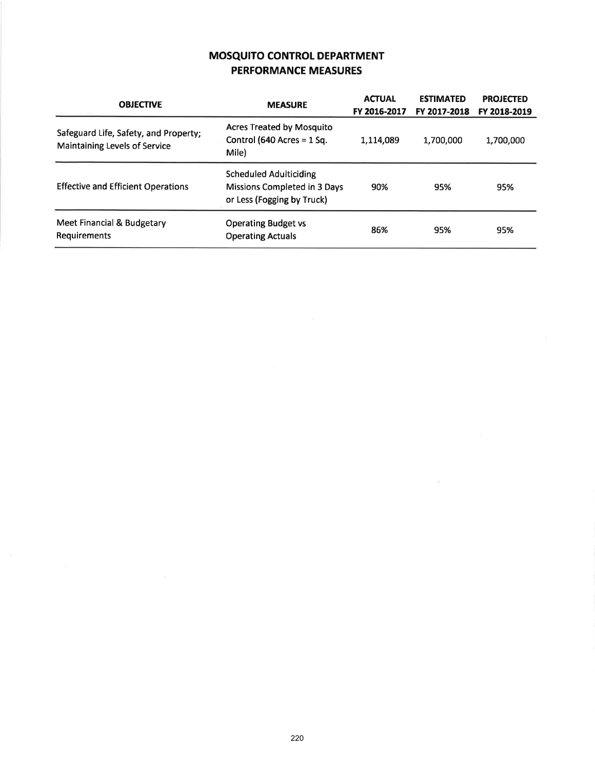# MOSqU|TO CONTROL DEPARTMENT PERFORMANCE MEASURES

| <b>OBJECTIVE</b>                                                              | <b>MEASURE</b>                                                                              | <b>ACTUAL</b><br>FY 2016-2017 | <b>ESTIMATED</b><br>FY 2017-2018 | <b>PROJECTED</b><br>FY 2018-2019 |
|-------------------------------------------------------------------------------|---------------------------------------------------------------------------------------------|-------------------------------|----------------------------------|----------------------------------|
| Safeguard Life, Safety, and Property;<br><b>Maintaining Levels of Service</b> | <b>Acres Treated by Mosquito</b><br>Control (640 Acres = $1$ Sq.<br>Mile)                   | 1,114,089                     | 1,700,000                        | 1,700,000                        |
| <b>Effective and Efficient Operations</b>                                     | <b>Scheduled Adulticiding</b><br>Missions Completed in 3 Days<br>or Less (Fogging by Truck) | 90%                           | 95%                              | 95%                              |
| Meet Financial & Budgetary<br><b>Requirements</b>                             | <b>Operating Budget vs</b><br><b>Operating Actuals</b>                                      | 86%                           | 95%                              | 95%                              |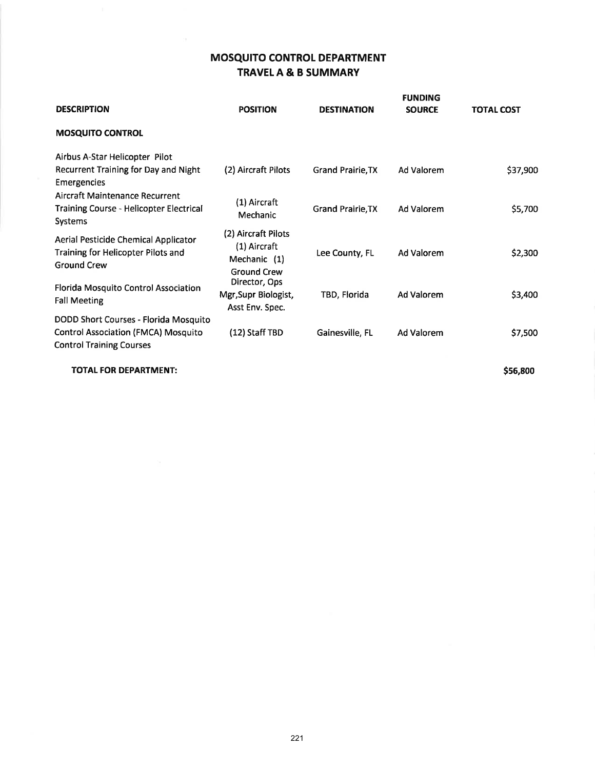# MOSQUITO CONTROL DEPARTMENT TRAVELA & B SUMMARY

| <b>DESCRIPTION</b>                                                                                                     | <b>POSITION</b>                                                           | <b>DESTINATION</b>       | <b>FUNDING</b><br><b>SOURCE</b> | <b>TOTAL COST</b> |
|------------------------------------------------------------------------------------------------------------------------|---------------------------------------------------------------------------|--------------------------|---------------------------------|-------------------|
| <b>MOSQUITO CONTROL</b>                                                                                                |                                                                           |                          |                                 |                   |
| Airbus A-Star Helicopter Pilot<br>Recurrent Training for Day and Night<br>Emergencies                                  | (2) Aircraft Pilots                                                       | Grand Prairie, TX        | Ad Valorem                      | \$37,900          |
| <b>Aircraft Maintenance Recurrent</b><br><b>Training Course - Helicopter Electrical</b><br><b>Systems</b>              | (1) Aircraft<br>Mechanic                                                  | <b>Grand Prairie, TX</b> | Ad Valorem                      | \$5,700           |
| Aerial Pesticide Chemical Applicator<br>Training for Helicopter Pilots and<br><b>Ground Crew</b>                       | (2) Aircraft Pilots<br>(1) Aircraft<br>Mechanic (1)<br><b>Ground Crew</b> | Lee County, FL           | Ad Valorem                      | \$2,300           |
| Florida Mosquito Control Association<br><b>Fall Meeting</b>                                                            | Director, Ops<br>Mgr, Supr Biologist,<br>Asst Env. Spec.                  | TBD, Florida             | Ad Valorem                      | \$3,400           |
| DODD Short Courses - Florida Mosquito<br><b>Control Association (FMCA) Mosquito</b><br><b>Control Training Courses</b> | (12) Staff TBD                                                            | Gainesville, FL          | Ad Valorem                      | \$7,500           |
| <b>TOTAL FOR DEPARTMENT:</b>                                                                                           |                                                                           |                          |                                 | \$56,800          |

221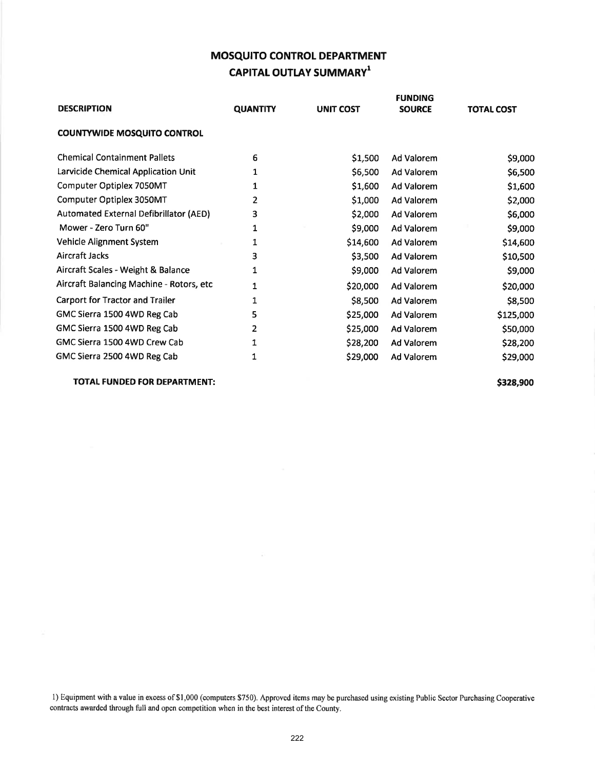# MOSQUITO CONTROL DEPARTMENT CAPITAL OUTLAY SUMMARY<sup>1</sup>

|                                          |                 |                  | <b>FUNDING</b> |                   |
|------------------------------------------|-----------------|------------------|----------------|-------------------|
| <b>DESCRIPTION</b>                       | <b>QUANTITY</b> | <b>UNIT COST</b> | <b>SOURCE</b>  | <b>TOTAL COST</b> |
| <b>COUNTYWIDE MOSQUITO CONTROL</b>       |                 |                  |                |                   |
| <b>Chemical Containment Pallets</b>      | 6               | \$1,500          | Ad Valorem     | \$9,000           |
| Larvicide Chemical Application Unit      | 1               | \$6,500          | Ad Valorem     | \$6,500           |
| Computer Optiplex 7050MT                 | 1               | \$1,600          | Ad Valorem     | \$1,600           |
| Computer Optiplex 3050MT                 | 2               | \$1,000          | Ad Valorem     | \$2,000           |
| Automated External Defibrillator (AED)   | 3               | \$2,000          | Ad Valorem     | \$6,000           |
| Mower - Zero Turn 60"                    | 1               | \$9,000          | Ad Valorem     | \$9,000           |
| Vehicle Alignment System                 | 1               | \$14,600         | Ad Valorem     | \$14,600          |
| Aircraft Jacks                           | з               | \$3,500          | Ad Valorem     | \$10,500          |
| Aircraft Scales - Weight & Balance       | 1               | \$9,000          | Ad Valorem     | \$9,000           |
| Aircraft Balancing Machine - Rotors, etc | 1               | \$20,000         | Ad Valorem     | \$20,000          |
| <b>Carport for Tractor and Trailer</b>   | 1               | \$8,500          | Ad Valorem     | \$8,500           |
| GMC Sierra 1500 4WD Reg Cab              | 5               | \$25,000         | Ad Valorem     | \$125,000         |
| GMC Sierra 1500 4WD Reg Cab              | 2               | \$25,000         | Ad Valorem     | \$50,000          |
| GMC Sierra 1500 4WD Crew Cab             | 1               | \$28,200         | Ad Valorem     | \$28,200          |
| GMC Sierra 2500 4WD Reg Cab              | 1               | \$29,000         | Ad Valorem     | \$29,000          |

### TOTAL FUNDED FOR DEPARTMENT:

S328,900

l) Equipment with a value in excess of\$1,000 (computers \$750). Approved items may be purchased using existing Public Sector Purchasing Cooperative contracts awarded through full and open competition when in the best interest of the County.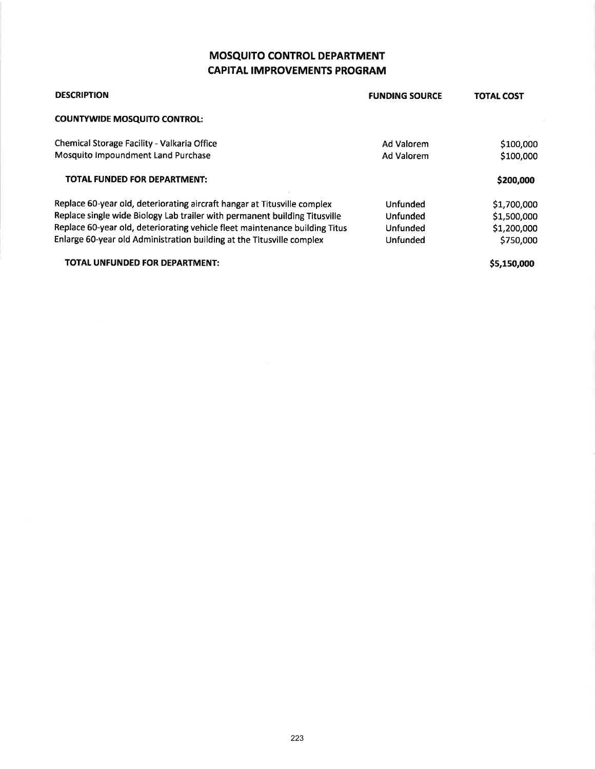# MOSQUITO CONTROL DEPARTMENT **CAPITAL IMPROVEMENTS PROGRAM**

| <b>DESCRIPTION</b>                                                          | <b>FUNDING SOURCE</b> | <b>TOTAL COST</b> |
|-----------------------------------------------------------------------------|-----------------------|-------------------|
| <b>COUNTYWIDE MOSQUITO CONTROL:</b>                                         |                       |                   |
| Chemical Storage Facility - Valkaria Office                                 | Ad Valorem            | \$100,000         |
| Mosquito Impoundment Land Purchase                                          | Ad Valorem            | \$100,000         |
| <b>TOTAL FUNDED FOR DEPARTMENT:</b>                                         |                       | \$200,000         |
| Replace 60-year old, deteriorating aircraft hangar at Titusville complex    | Unfunded              | \$1,700,000       |
| Replace single wide Biology Lab trailer with permanent building Titusville  | Unfunded              | \$1,500,000       |
| Replace 60-year old, deteriorating vehicle fleet maintenance building Titus | Unfunded              | \$1,200,000       |
| Enlarge 60-year old Administration building at the Titusville complex       | <b>Unfunded</b>       | \$750,000         |
|                                                                             |                       |                   |

TOTAL UNFUNDED FOR DEPARTMENT:

S5,l50,ooo